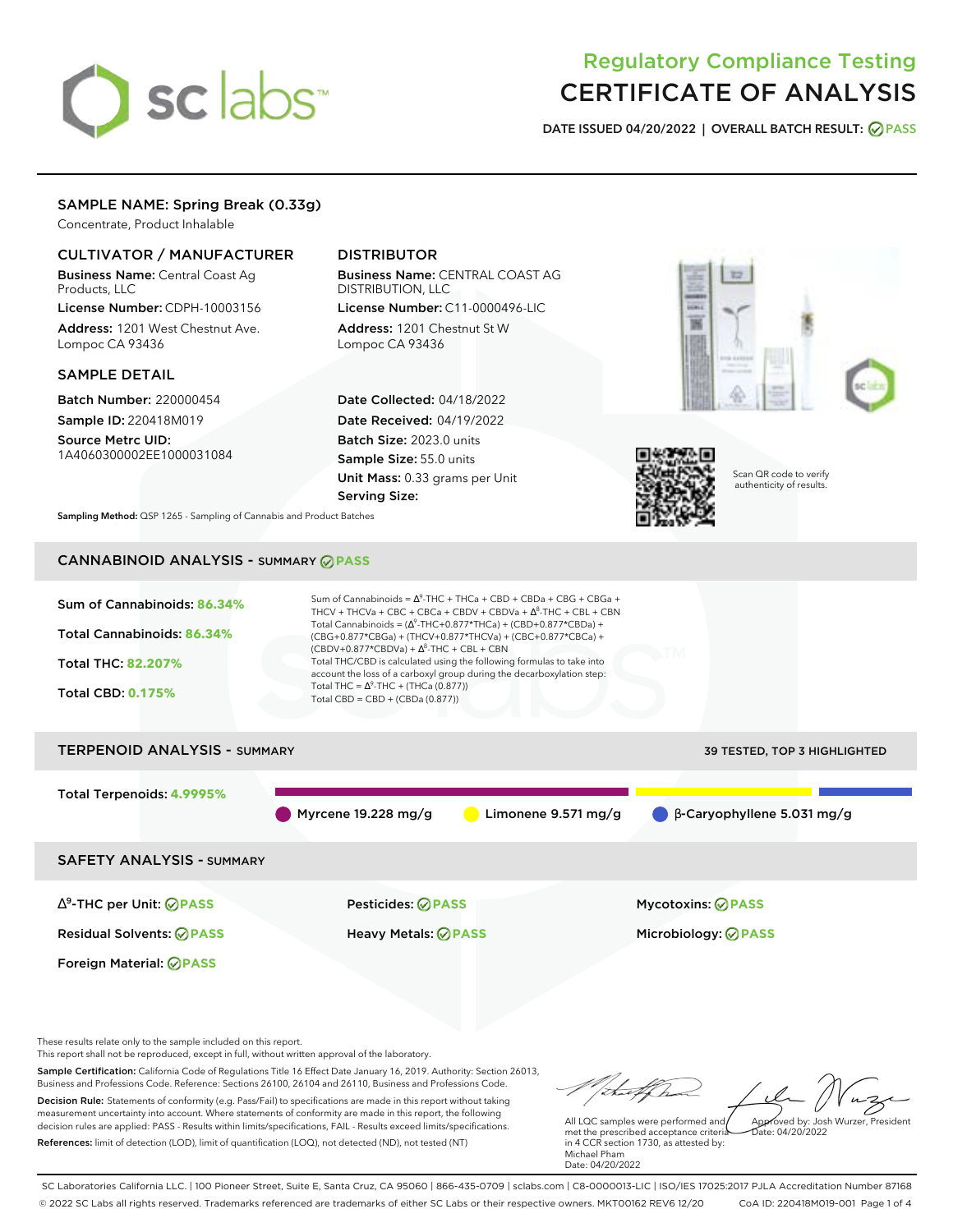# sclabs

# Regulatory Compliance Testing CERTIFICATE OF ANALYSIS

**DATE ISSUED 04/20/2022 | OVERALL BATCH RESULT: PASS**

# SAMPLE NAME: Spring Break (0.33g)

Concentrate, Product Inhalable

# CULTIVATOR / MANUFACTURER

Business Name: Central Coast Ag Products, LLC

License Number: CDPH-10003156 Address: 1201 West Chestnut Ave. Lompoc CA 93436

# SAMPLE DETAIL

Batch Number: 220000454 Sample ID: 220418M019

Source Metrc UID: 1A4060300002EE1000031084

# DISTRIBUTOR

Business Name: CENTRAL COAST AG DISTRIBUTION, LLC License Number: C11-0000496-LIC

Address: 1201 Chestnut St W Lompoc CA 93436

Date Collected: 04/18/2022 Date Received: 04/19/2022 Batch Size: 2023.0 units Sample Size: 55.0 units Unit Mass: 0.33 grams per Unit Serving Size:





Scan QR code to verify authenticity of results.

**Sampling Method:** QSP 1265 - Sampling of Cannabis and Product Batches

# CANNABINOID ANALYSIS - SUMMARY **PASS**

| Sum of Cannabinoids: 86.34%<br>Total Cannabinoids: 86.34%<br>Total THC: 82,207%<br><b>Total CBD: 0.175%</b>     | Sum of Cannabinoids = $\Delta^9$ -THC + THCa + CBD + CBDa + CBG + CBGa +<br>THCV + THCVa + CBC + CBCa + CBDV + CBDVa + $\Delta^8$ -THC + CBL + CBN<br>Total Cannabinoids = $(\Delta^9$ -THC+0.877*THCa) + (CBD+0.877*CBDa) +<br>(CBG+0.877*CBGa) + (THCV+0.877*THCVa) + (CBC+0.877*CBCa) +<br>$(CBDV+0.877*CBDVa) + \Delta^8$ -THC + CBL + CBN<br>Total THC/CBD is calculated using the following formulas to take into<br>account the loss of a carboxyl group during the decarboxylation step:<br>Total THC = $\Delta^9$ -THC + (THCa (0.877))<br>Total CBD = $CBD + (CBDa (0.877))$ |                                                 |  |  |  |  |
|-----------------------------------------------------------------------------------------------------------------|----------------------------------------------------------------------------------------------------------------------------------------------------------------------------------------------------------------------------------------------------------------------------------------------------------------------------------------------------------------------------------------------------------------------------------------------------------------------------------------------------------------------------------------------------------------------------------------|-------------------------------------------------|--|--|--|--|
| <b>TERPENOID ANALYSIS - SUMMARY</b>                                                                             |                                                                                                                                                                                                                                                                                                                                                                                                                                                                                                                                                                                        | <b>39 TESTED, TOP 3 HIGHLIGHTED</b>             |  |  |  |  |
| Total Terpenoids: 4.9995%                                                                                       | Myrcene 19.228 mg/g<br>Limonene $9.571$ mg/g                                                                                                                                                                                                                                                                                                                                                                                                                                                                                                                                           | $\beta$ -Caryophyllene 5.031 mg/g               |  |  |  |  |
| <b>SAFETY ANALYSIS - SUMMARY</b>                                                                                |                                                                                                                                                                                                                                                                                                                                                                                                                                                                                                                                                                                        |                                                 |  |  |  |  |
| $\Delta^9$ -THC per Unit: $\bigcirc$ PASS<br><b>Residual Solvents: ⊘PASS</b><br>Foreign Material: <b>⊘ PASS</b> | <b>Pesticides: ⊘ PASS</b><br><b>Heavy Metals: ⊘ PASS</b>                                                                                                                                                                                                                                                                                                                                                                                                                                                                                                                               | <b>Mycotoxins: ⊘PASS</b><br>Microbiology: @PASS |  |  |  |  |

These results relate only to the sample included on this report.

This report shall not be reproduced, except in full, without written approval of the laboratory.

Sample Certification: California Code of Regulations Title 16 Effect Date January 16, 2019. Authority: Section 26013, Business and Professions Code. Reference: Sections 26100, 26104 and 26110, Business and Professions Code. Decision Rule: Statements of conformity (e.g. Pass/Fail) to specifications are made in this report without taking measurement uncertainty into account. Where statements of conformity are made in this report, the following decision rules are applied: PASS - Results within limits/specifications, FAIL - Results exceed limits/specifications.

References: limit of detection (LOD), limit of quantification (LOQ), not detected (ND), not tested (NT)

thatthe Approved by: Josh Wurzer, President

 $hat: 04/20/2022$ 

All LQC samples were performed and met the prescribed acceptance criteria in 4 CCR section 1730, as attested by: Michael Pham Date: 04/20/2022

SC Laboratories California LLC. | 100 Pioneer Street, Suite E, Santa Cruz, CA 95060 | 866-435-0709 | sclabs.com | C8-0000013-LIC | ISO/IES 17025:2017 PJLA Accreditation Number 87168 © 2022 SC Labs all rights reserved. Trademarks referenced are trademarks of either SC Labs or their respective owners. MKT00162 REV6 12/20 CoA ID: 220418M019-001 Page 1 of 4